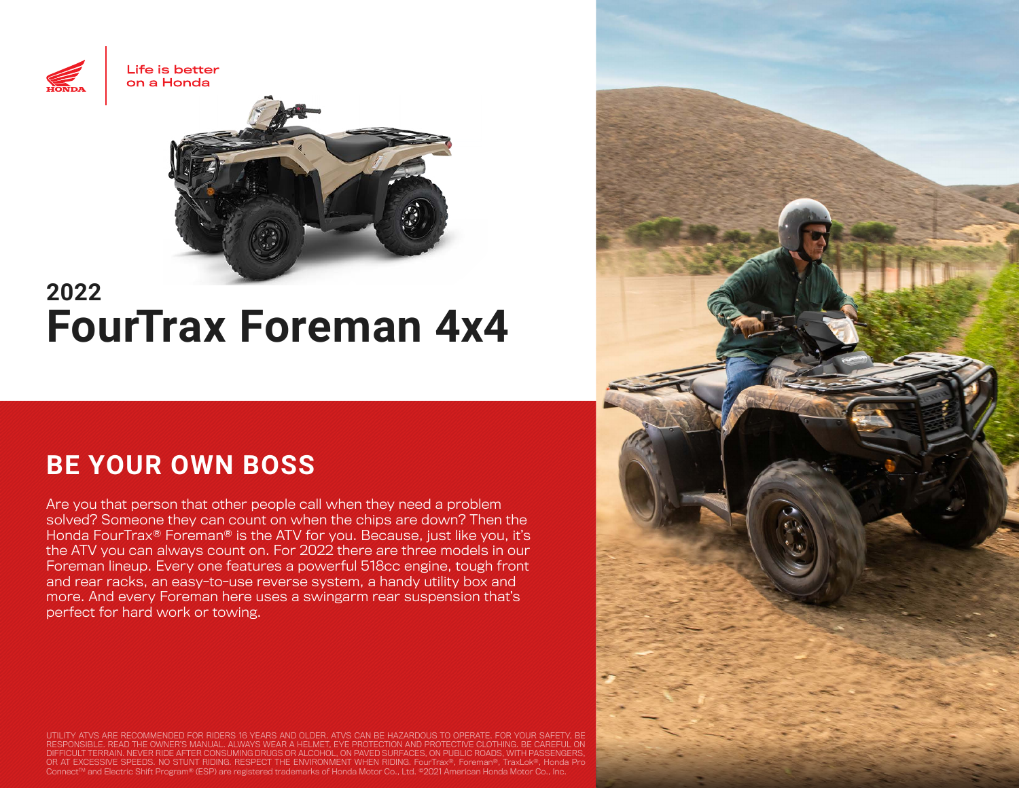



# **2022 FourTrax Foreman 4x4**

# **BE YOUR OWN BOSS**

Are you that person that other people call when they need a problem solved? Someone they can count on when the chips are down? Then the Honda FourTrax® Foreman® is the ATV for you. Because, just like you, it's the ATV you can always count on. For 2022 there are three models in our Foreman lineup. Every one features a powerful 518cc engine, tough front and rear racks, an easy-to-use reverse system, a handy utility box and more. And every Foreman here uses a swingarm rear suspension that's perfect for hard work or towing.

UTILITY ATVS ARE RECOMMENDED FOR RIDERS 16 YEARS AND OLDER. ATVS CAN BE HAZARDOUS TO OPERATE. FOR YOUR SAFETY, BE<br>RESPONSIBLE. READ THE OWNER'S MANUAL. ALWAYS WEAR A HELMET, EYE PROTECTION AND PROTECTIVE CLOTHING. BE CAREF OR AT EXCESSIVE SPEEDS. NO STUNT RIDING. RESPECT THE ENVIRONMENT WHEN RIDING. FourTrax®, Foreman®, TraxLok®, Honda Pro ConnectTM and Electric Shift Program® (ESP) are registered trademarks of Honda Motor Co., Ltd. ©2021 American Honda Motor Co., Inc.

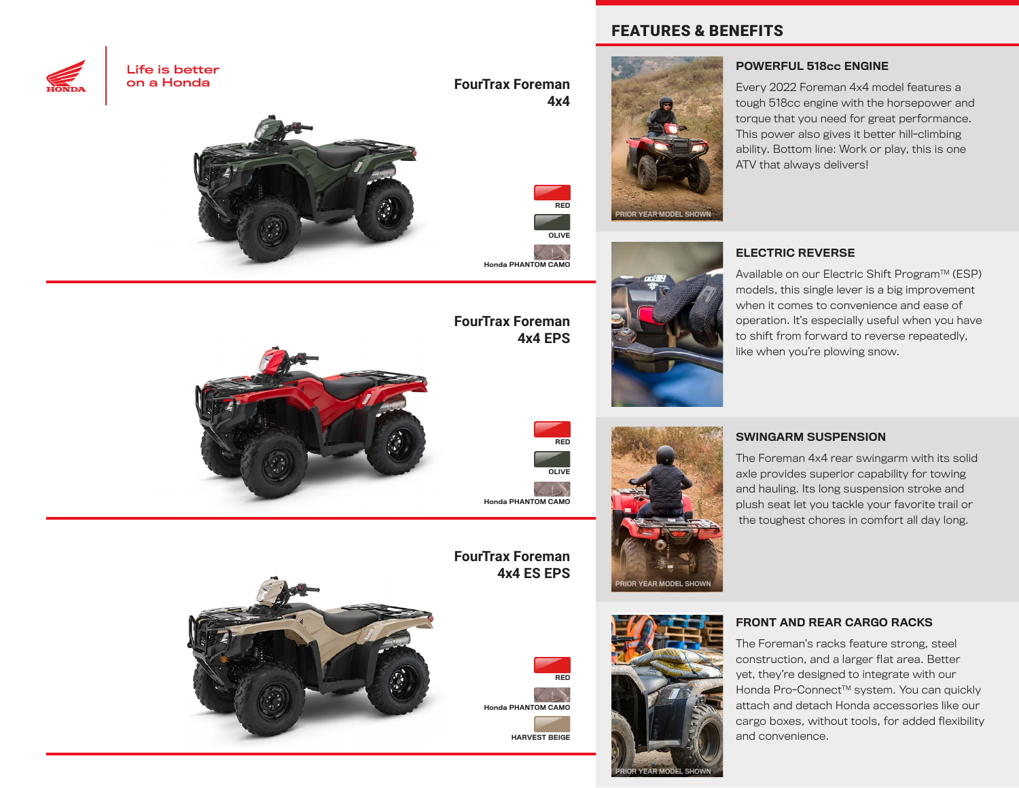



**FourTrax Foreman 4x4**



Honda PHANTOM CAMO

## **FourTrax Foreman 4x4 EPS**



SWINGARM SUSPENSION

The Foreman 4x4 rear swingarm with its solid axle provides superior capability for towing and hauling. Its long suspension stroke and plush seat let you tackle your favorite trail or the toughest chores in comfort all day long.



**FourTrax Foreman 4x4 ES EPS**

Honda PHANTOM CAMO





RIOR YEAR MODEL SHOWN

**PAR MODEL** 

### FRONT AND REAR CARGO RACKS

The Foreman's racks feature strong, steel construction, and a larger flat area. Better yet, they're designed to integrate with our Honda Pro-Connect<sup>™</sup> system. You can quickly attach and detach Honda accessories like our cargo boxes, without tools, for added flexibility and convenience.

### FEATURES & BENEFITS





### POWERFUL 518cc ENGINE

Every 2022 Foreman 4x4 model features a tough 518cc engine with the horsepower and torque that you need for great performance. This power also gives it better hill-climbing ability. Bottom line: Work or play, this is one ATV that always delivers!

### ELECTRIC REVERSE

Available on our Electric Shift Program™ (ESP) models, this single lever is a big improvement when it comes to convenience and ease of operation. It's especially useful when you have to shift from forward to reverse repeatedly, like when you're plowing snow.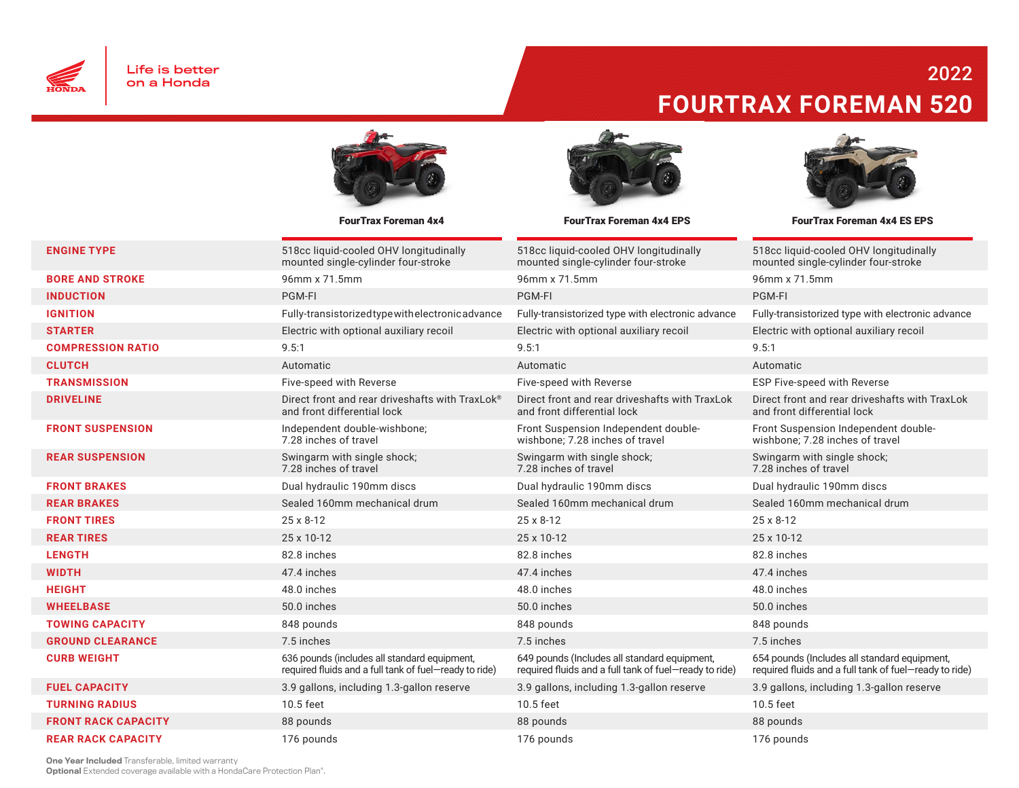

## 2022 **FOURTRAX FOREMAN 520**





FourTrax Foreman 4x4 FourTrax Foreman 4x4 EPS FourTrax Foreman 4x4 ES EPS

| <b>ENGINE TYPE</b>         | 518cc liquid-cooled OHV longitudinally<br>mounted single-cylinder four-stroke                          | 518cc liquid-cooled OHV longitudinally<br>mounted single-cylinder four-stroke                          | 518cc liquid-cooled OHV longitudinally<br>mounted single-cylinder four-stroke                          |
|----------------------------|--------------------------------------------------------------------------------------------------------|--------------------------------------------------------------------------------------------------------|--------------------------------------------------------------------------------------------------------|
| <b>BORE AND STROKE</b>     | 96mm x 71.5mm                                                                                          | 96mm x 71.5mm                                                                                          | 96mm x 71.5mm                                                                                          |
| <b>INDUCTION</b>           | PGM-FI                                                                                                 | PGM-FI                                                                                                 | PGM-FI                                                                                                 |
| <b>IGNITION</b>            | Fully-transistorized type with electronic advance                                                      | Fully-transistorized type with electronic advance                                                      | Fully-transistorized type with electronic advance                                                      |
| <b>STARTER</b>             | Electric with optional auxiliary recoil                                                                | Electric with optional auxiliary recoil                                                                | Electric with optional auxiliary recoil                                                                |
| <b>COMPRESSION RATIO</b>   | 9.5:1                                                                                                  | 9.5:1                                                                                                  | 9.5:1                                                                                                  |
| <b>CLUTCH</b>              | Automatic                                                                                              | Automatic                                                                                              | Automatic                                                                                              |
| <b>TRANSMISSION</b>        | Five-speed with Reverse                                                                                | Five-speed with Reverse                                                                                | ESP Five-speed with Reverse                                                                            |
| <b>DRIVELINE</b>           | Direct front and rear driveshafts with TraxLok®<br>and front differential lock                         | Direct front and rear driveshafts with TraxLok<br>and front differential lock                          | Direct front and rear driveshafts with TraxLok<br>and front differential lock                          |
| <b>FRONT SUSPENSION</b>    | Independent double-wishbone;<br>7.28 inches of travel                                                  | Front Suspension Independent double-<br>wishbone: 7.28 inches of travel                                | Front Suspension Independent double-<br>wishbone: 7.28 inches of travel                                |
| <b>REAR SUSPENSION</b>     | Swingarm with single shock;<br>7.28 inches of travel                                                   | Swingarm with single shock;<br>7.28 inches of travel                                                   | Swingarm with single shock;<br>7.28 inches of travel                                                   |
| <b>FRONT BRAKES</b>        | Dual hydraulic 190mm discs                                                                             | Dual hydraulic 190mm discs                                                                             | Dual hydraulic 190mm discs                                                                             |
| <b>REAR BRAKES</b>         | Sealed 160mm mechanical drum                                                                           | Sealed 160mm mechanical drum                                                                           | Sealed 160mm mechanical drum                                                                           |
| <b>FRONT TIRES</b>         | 25 x 8-12                                                                                              | 25 x 8-12                                                                                              | 25 x 8-12                                                                                              |
| <b>REAR TIRES</b>          | 25 x 10-12                                                                                             | 25 x 10-12                                                                                             | 25 x 10-12                                                                                             |
| <b>LENGTH</b>              | 82.8 inches                                                                                            | 82.8 inches                                                                                            | 82.8 inches                                                                                            |
| <b>WIDTH</b>               | 47.4 inches                                                                                            | 47.4 inches                                                                                            | 47.4 inches                                                                                            |
| <b>HEIGHT</b>              | 48.0 inches                                                                                            | 48.0 inches                                                                                            | 48.0 inches                                                                                            |
| <b>WHEELBASE</b>           | 50.0 inches                                                                                            | 50.0 inches                                                                                            | 50.0 inches                                                                                            |
| <b>TOWING CAPACITY</b>     | 848 pounds                                                                                             | 848 pounds                                                                                             | 848 pounds                                                                                             |
| <b>GROUND CLEARANCE</b>    | 7.5 inches                                                                                             | 7.5 inches                                                                                             | 7.5 inches                                                                                             |
| <b>CURB WEIGHT</b>         | 636 pounds (includes all standard equipment,<br>required fluids and a full tank of fuel-ready to ride) | 649 pounds (Includes all standard equipment,<br>required fluids and a full tank of fuel-ready to ride) | 654 pounds (Includes all standard equipment,<br>required fluids and a full tank of fuel-ready to ride) |
| <b>FUEL CAPACITY</b>       | 3.9 gallons, including 1.3-gallon reserve                                                              | 3.9 gallons, including 1.3-gallon reserve                                                              | 3.9 gallons, including 1.3-gallon reserve                                                              |
| <b>TURNING RADIUS</b>      | 10.5 feet                                                                                              | 10.5 feet                                                                                              | 10.5 feet                                                                                              |
| <b>FRONT RACK CAPACITY</b> | 88 pounds                                                                                              | 88 pounds                                                                                              | 88 pounds                                                                                              |
| <b>REAR RACK CAPACITY</b>  | 176 pounds                                                                                             | 176 pounds                                                                                             | 176 pounds                                                                                             |

One Year Included Transferable, limited warranty

**Optional** Extended coverage available with a HondaCare Protection Plan<sup>®</sup>.